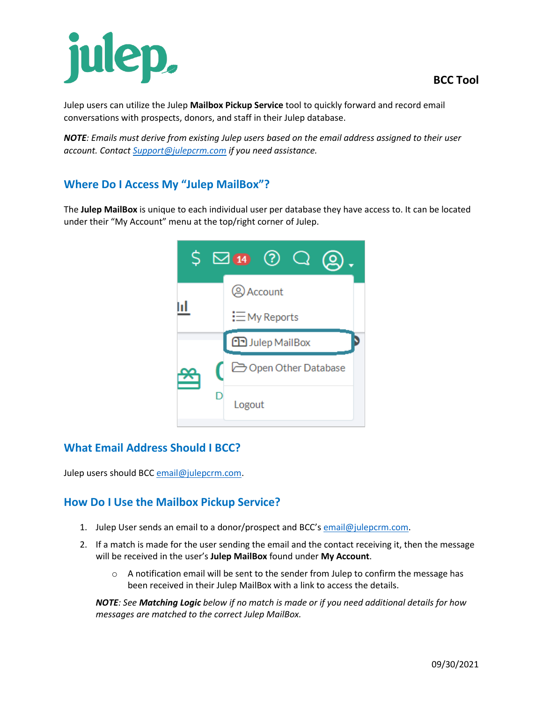# julep,

Julep users can utilize the Julep **Mailbox Pickup Service** tool to quickly forward and record email conversations with prospects, donors, and staff in their Julep database.

*NOTE: Emails must derive from existing Julep users based on the email address assigned to their user account. Contact [Support@julepcrm.com](mailto:Support@julepcrm.com) if you need assistance.*

## **Where Do I Access My "Julep MailBox"?**

The **Julep MailBox** is unique to each individual user per database they have access to. It can be located under their "My Account" menu at the top/right corner of Julep.

| S |  | $\Box$ 14 (?)          |
|---|--|------------------------|
|   |  | <b>Account</b>         |
|   |  | $\equiv$ My Reports    |
|   |  | <b>D</b> Julep MailBox |
|   |  | Open Other Database    |
|   |  | Logout                 |

## **What Email Address Should I BCC?**

Julep users should BC[C email@julepcrm.com.](mailto:email@julepcrm.com)

### **How Do I Use the Mailbox Pickup Service?**

- 1. Julep User sends an email to a donor/prospect and BCC's [email@julepcrm.com.](mailto:email@julepcrm.com)
- 2. If a match is made for the user sending the email and the contact receiving it, then the message will be received in the user's **Julep MailBox** found under **My Account**.
	- $\circ$  A notification email will be sent to the sender from Julep to confirm the message has been received in their Julep MailBox with a link to access the details.

*NOTE: See Matching Logic below if no match is made or if you need additional details for how messages are matched to the correct Julep MailBox.*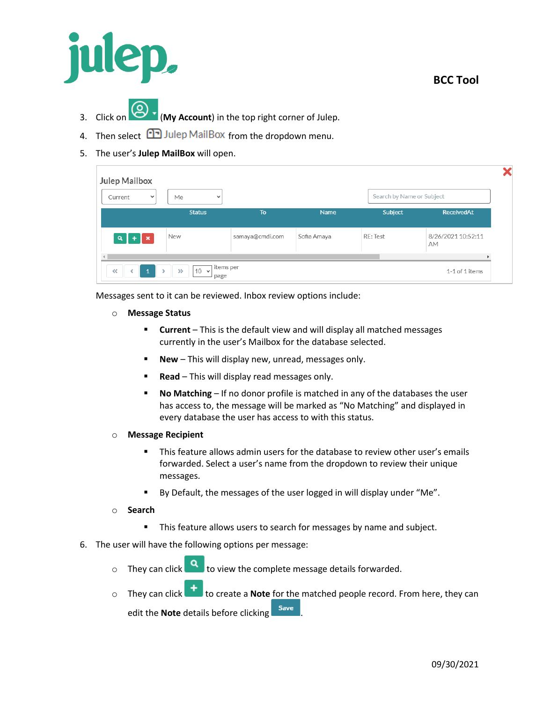

- 3. Click on (**My Account**) in the top right corner of Julep.
- 4. Then select  $\Box$  Julep MailBox from the dropdown menu.
- 5. The user's **Julep MailBox** will open.

| Current<br>$\checkmark$ | Me<br>$\checkmark$ |                 |             | Search by Name or Subject |                          |
|-------------------------|--------------------|-----------------|-------------|---------------------------|--------------------------|
|                         | <b>Status</b>      | To              | <b>Name</b> | Subject                   | <b>ReceivedAt</b>        |
| $Q$ +<br>∣ x            | New                | samaya@cmdi.com | Sofia Amaya | RE: Test                  | 8/26/2021 10:52:11<br>AM |

Messages sent to it can be reviewed. Inbox review options include:

- o **Message Status**
	- **EXECUTE:** Current This is the default view and will display all matched messages currently in the user's Mailbox for the database selected.
	- **New** This will display new, unread, messages only.
	- **Read** This will display read messages only.
	- No Matching If no donor profile is matched in any of the databases the user has access to, the message will be marked as "No Matching" and displayed in every database the user has access to with this status.
- o **Message Recipient**
	- This feature allows admin users for the database to review other user's emails forwarded. Select a user's name from the dropdown to review their unique messages.
	- By Default, the messages of the user logged in will display under "Me".
- o **Search**
	- **This feature allows users to search for messages by name and subject.**
- 6. The user will have the following options per message:
	- o They can click  $\overline{a}$  to view the complete message details forwarded.
	- o They can click to create a **Note** for the matched people record. From here, they can

edit the **Note** details before clicking save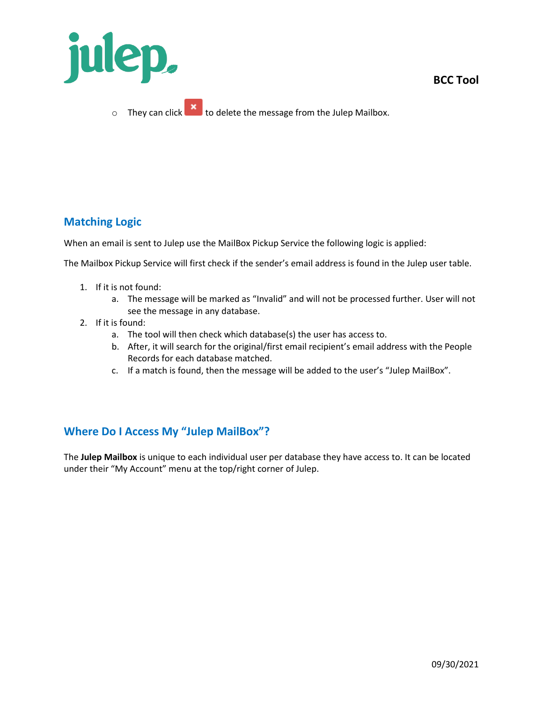

**BCC Tool**

**Matching Logic**

When an email is sent to Julep use the MailBox Pickup Service the following logic is applied:

The Mailbox Pickup Service will first check if the sender's email address is found in the Julep user table.

- 1. If it is not found:
	- a. The message will be marked as "Invalid" and will not be processed further. User will not see the message in any database.
- 2. If it is found:
	- a. The tool will then check which database(s) the user has access to.
	- b. After, it will search for the original/first email recipient's email address with the People Records for each database matched.
	- c. If a match is found, then the message will be added to the user's "Julep MailBox".

### **Where Do I Access My "Julep MailBox"?**

The **Julep Mailbox** is unique to each individual user per database they have access to. It can be located under their "My Account" menu at the top/right corner of Julep.